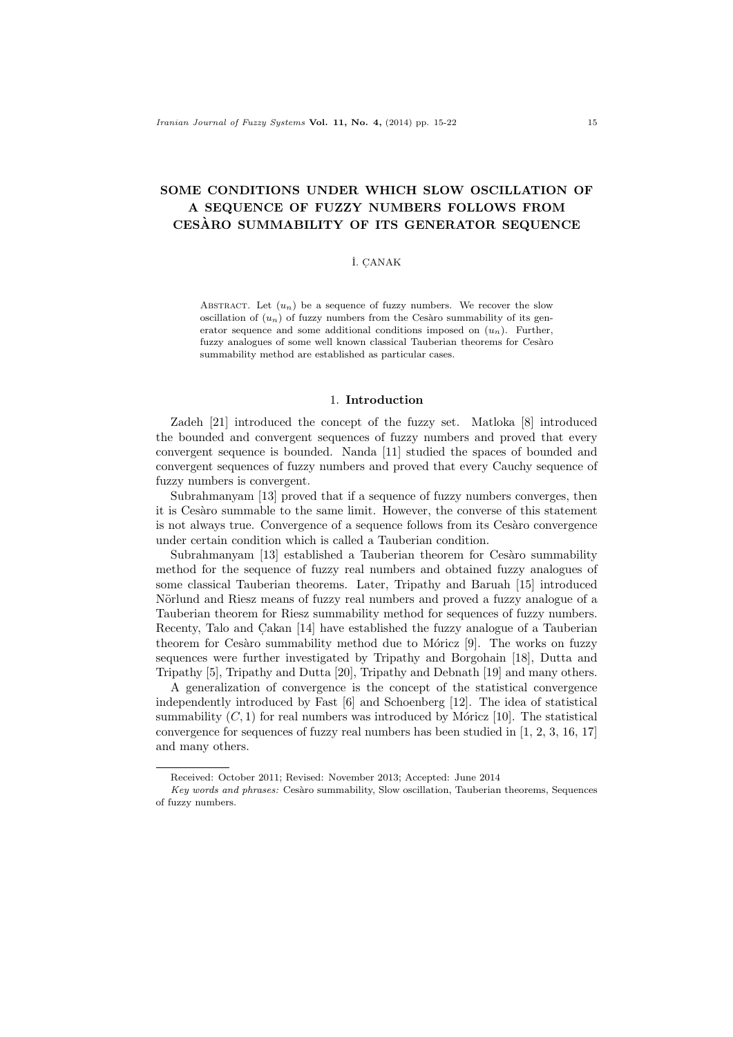# SOME CONDITIONS UNDER WHICH SLOW OSCILLATION OF A SEQUENCE OF FUZZY NUMBERS FOLLOWS FROM CESARO SUMMABILITY OF ITS GENERATOR SEQUENCE `

### İ. ÇANAK

ABSTRACT. Let  $(u_n)$  be a sequence of fuzzy numbers. We recover the slow oscillation of  $(u_n)$  of fuzzy numbers from the Cesaro summability of its generator sequence and some additional conditions imposed on  $(u_n)$ . Further, fuzzy analogues of some well known classical Tauberian theorems for Cesàro summability method are established as particular cases.

#### 1. Introduction

Zadeh [21] introduced the concept of the fuzzy set. Matloka [8] introduced the bounded and convergent sequences of fuzzy numbers and proved that every convergent sequence is bounded. Nanda [11] studied the spaces of bounded and convergent sequences of fuzzy numbers and proved that every Cauchy sequence of fuzzy numbers is convergent.

Subrahmanyam [13] proved that if a sequence of fuzzy numbers converges, then it is Cesàro summable to the same limit. However, the converse of this statement is not always true. Convergence of a sequence follows from its Cesàro convergence under certain condition which is called a Tauberian condition.

Subrahmanyam  $[13]$  established a Tauberian theorem for Cesaro summability method for the sequence of fuzzy real numbers and obtained fuzzy analogues of some classical Tauberian theorems. Later, Tripathy and Baruah [15] introduced Nörlund and Riesz means of fuzzy real numbers and proved a fuzzy analogue of a Tauberian theorem for Riesz summability method for sequences of fuzzy numbers. Recenty, Talo and Cakan [14] have established the fuzzy analogue of a Tauberian theorem for Cesàro summability method due to Móricz  $[9]$ . The works on fuzzy sequences were further investigated by Tripathy and Borgohain [18], Dutta and Tripathy [5], Tripathy and Dutta [20], Tripathy and Debnath [19] and many others.

A generalization of convergence is the concept of the statistical convergence independently introduced by Fast [6] and Schoenberg [12]. The idea of statistical summability  $(C, 1)$  for real numbers was introduced by Móricz [10]. The statistical convergence for sequences of fuzzy real numbers has been studied in [1, 2, 3, 16, 17] and many others.

Received: October 2011; Revised: November 2013; Accepted: June 2014

Key words and phrases: Cesàro summability, Slow oscillation, Tauberian theorems, Sequences of fuzzy numbers.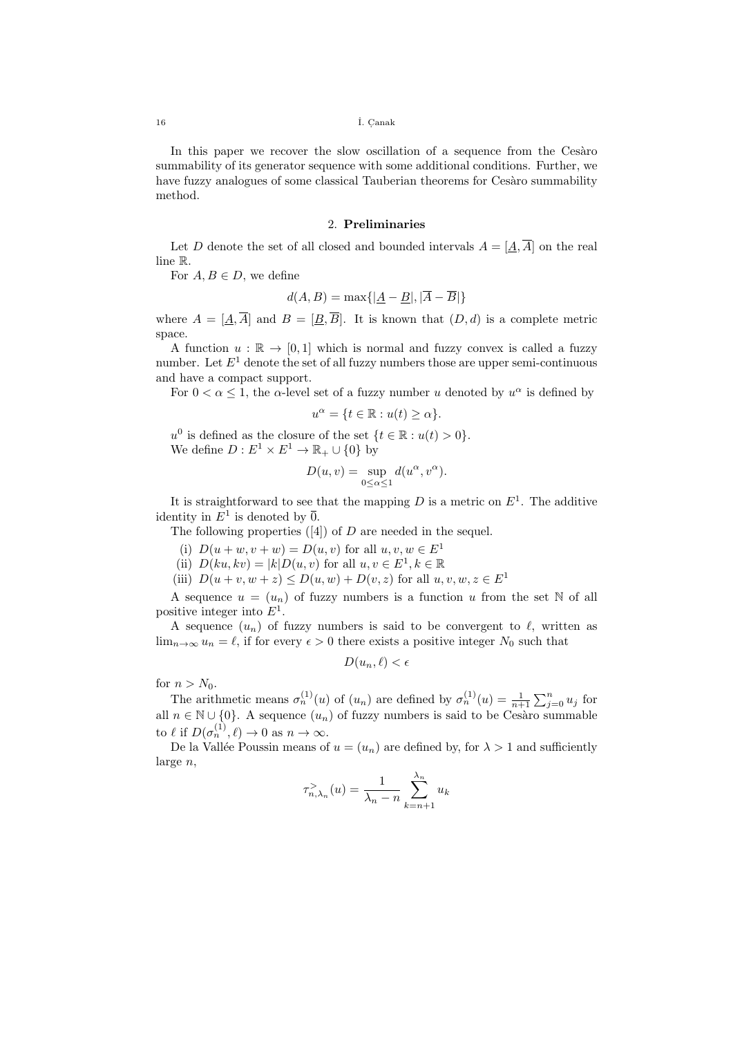#### <sup>16</sup> ˙I. C. anak

In this paper we recover the slow oscillation of a sequence from the Cesaro summability of its generator sequence with some additional conditions. Further, we have fuzzy analogues of some classical Tauberian theorems for Cesàro summability method.

### 2. Preliminaries

Let D denote the set of all closed and bounded intervals  $A = [\underline{A}, \overline{A}]$  on the real line R.

For  $A, B \in D$ , we define

$$
d(A, B) = \max\{|\underline{A} - \underline{B}|, |\overline{A} - \overline{B}|\}
$$

where  $A = [A, \overline{A}]$  and  $B = [B, \overline{B}]$ . It is known that  $(D, d)$  is a complete metric space.

A function  $u : \mathbb{R} \to [0,1]$  which is normal and fuzzy convex is called a fuzzy number. Let  $E<sup>1</sup>$  denote the set of all fuzzy numbers those are upper semi-continuous and have a compact support.

For  $0 < \alpha \leq 1$ , the  $\alpha$ -level set of a fuzzy number u denoted by  $u^{\alpha}$  is defined by

$$
u^{\alpha} = \{ t \in \mathbb{R} : u(t) \ge \alpha \}.
$$

 $u^0$  is defined as the closure of the set  $\{t \in \mathbb{R} : u(t) > 0\}.$ We define  $D: E^1 \times E^1 \to \mathbb{R}_+ \cup \{0\}$  by

$$
D(u, v) = \sup_{0 \le \alpha \le 1} d(u^{\alpha}, v^{\alpha}).
$$

It is straightforward to see that the mapping D is a metric on  $E^1$ . The additive identity in  $E^1$  is denoted by  $\overline{0}$ .

The following properties  $([4])$  of D are needed in the sequel.

- (i)  $D(u + w, v + w) = D(u, v)$  for all  $u, v, w \in E<sup>1</sup>$
- (ii)  $D(ku, kv) = |k|D(u, v)$  for all  $u, v \in E^1, k \in \mathbb{R}$
- (iii)  $D(u + v, w + z) \le D(u, w) + D(v, z)$  for all  $u, v, w, z \in E<sup>1</sup>$

A sequence  $u = (u_n)$  of fuzzy numbers is a function u from the set N of all positive integer into  $E^1$ .

A sequence  $(u_n)$  of fuzzy numbers is said to be convergent to  $\ell$ , written as  $\lim_{n\to\infty} u_n = \ell$ , if for every  $\epsilon > 0$  there exists a positive integer  $N_0$  such that

$$
D(u_n, \ell) < \epsilon
$$

for  $n > N_0$ .

The arithmetic means  $\sigma_n^{(1)}(u)$  of  $(u_n)$  are defined by  $\sigma_n^{(1)}(u) = \frac{1}{n+1} \sum_{j=0}^n u_j$  for all  $n \in \mathbb{N} \cup \{0\}$ . A sequence  $(u_n)$  of fuzzy numbers is said to be Cesaro summable to  $\ell$  if  $D(\sigma_n^{(1)}, \ell) \to 0$  as  $n \to \infty$ .

De la Vallée Poussin means of  $u = (u_n)$  are defined by, for  $\lambda > 1$  and sufficiently large n,

$$
\tau_{n,\lambda_n}^>(u)=\frac{1}{\lambda_n-n}\sum_{k=n+1}^{\lambda_n}u_k
$$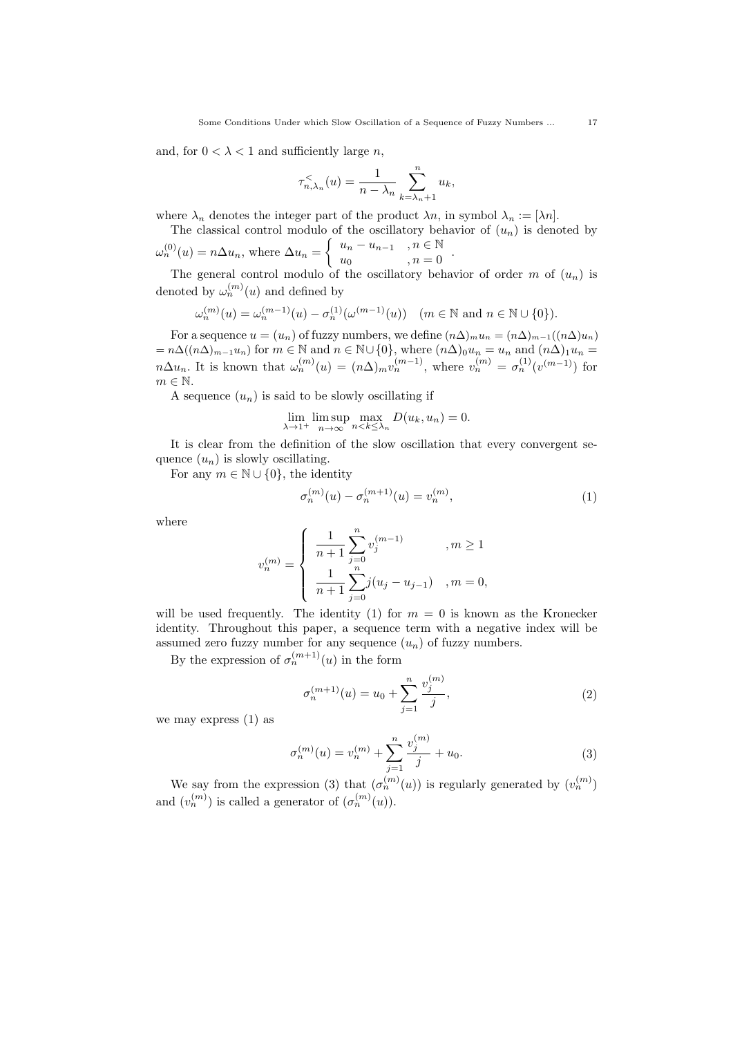and, for  $0 < \lambda < 1$  and sufficiently large n,

$$
\tau_{n,\lambda_n}^{\lt}(u) = \frac{1}{n - \lambda_n} \sum_{k=\lambda_n+1}^n u_k,
$$

where  $\lambda_n$  denotes the integer part of the product  $\lambda_n$ , in symbol  $\lambda_n := [\lambda_n]$ .

The classical control modulo of the oscillatory behavior of  $(u_n)$  is denoted by  $\omega_n^{(0)}(u) = n \Delta u_n$ , where  $\Delta u_n = \begin{cases} u_n - u_{n-1} & , n \in \mathbb{N} \\ u_n & , n = 0 \end{cases}$ 

$$
\omega_n^{(0)}(u) = n \Delta u_n, \text{ where } \Delta u_n = \begin{cases} u_n & u_{n-1} \to n \subset \mathbb{N} \\ u_0 & n = 0 \end{cases}.
$$
  
The general control modulo of the oscillator behavior of  $\alpha$ 

The general control modulo of the oscillatory behavior of order  $m$  of  $(u_n)$  is denoted by  $\omega_n^{(m)}(u)$  and defined by

$$
\omega_n^{(m)}(u) = \omega_n^{(m-1)}(u) - \sigma_n^{(1)}(\omega^{(m-1)}(u)) \quad (m \in \mathbb{N} \text{ and } n \in \mathbb{N} \cup \{0\}).
$$

For a sequence  $u = (u_n)$  of fuzzy numbers, we define  $(n\Delta)_{m}u_n = (n\Delta)_{m-1}((n\Delta)u_n)$  $= n\Delta((n\Delta)_{m-1}u_n)$  for  $m \in \mathbb{N}$  and  $n \in \mathbb{N}\cup\{0\}$ , where  $(n\Delta)_{0}u_n = u_n$  and  $(n\Delta)_{1}u_n =$  $n\Delta u_n$ . It is known that  $\omega_n^{(m)}(u) = (n\Delta)_m v_n^{(m-1)}$ , where  $v_n^{(m)} = \sigma_n^{(1)}(v^{(m-1)})$  for  $m \in \mathbb{N}$ .

A sequence  $(u_n)$  is said to be slowly oscillating if

$$
\lim_{\lambda \to 1^+} \limsup_{n \to \infty} \max_{n < k \le \lambda_n} D(u_k, u_n) = 0.
$$

It is clear from the definition of the slow oscillation that every convergent sequence  $(u_n)$  is slowly oscillating.

For any  $m \in \mathbb{N} \cup \{0\}$ , the identity

$$
\sigma_n^{(m)}(u) - \sigma_n^{(m+1)}(u) = v_n^{(m)},\tag{1}
$$

where

$$
v_n^{(m)}=\left\{\begin{array}{ll} \displaystyle \frac{1}{n+1}\sum_{j=0}^n v_j^{(m-1)} \quad & , m\geq 1 \\ \displaystyle \frac{1}{n+1}\sum_{j=0}^n j(u_j-u_{j-1}) \quad , m=0, \end{array} \right.
$$

will be used frequently. The identity (1) for  $m = 0$  is known as the Kronecker identity. Throughout this paper, a sequence term with a negative index will be assumed zero fuzzy number for any sequence  $(u_n)$  of fuzzy numbers.

By the expression of  $\sigma_n^{(m+1)}(u)$  in the form

$$
\sigma_n^{(m+1)}(u) = u_0 + \sum_{j=1}^n \frac{v_j^{(m)}}{j},\tag{2}
$$

we may express (1) as

$$
\sigma_n^{(m)}(u) = v_n^{(m)} + \sum_{j=1}^n \frac{v_j^{(m)}}{j} + u_0.
$$
\n(3)

We say from the expression (3) that  $(\sigma_n^{(m)}(u))$  is regularly generated by  $(v_n^{(m)})$ and  $(v_n^{(m)})$  is called a generator of  $(\sigma_n^{(m)}(u))$ .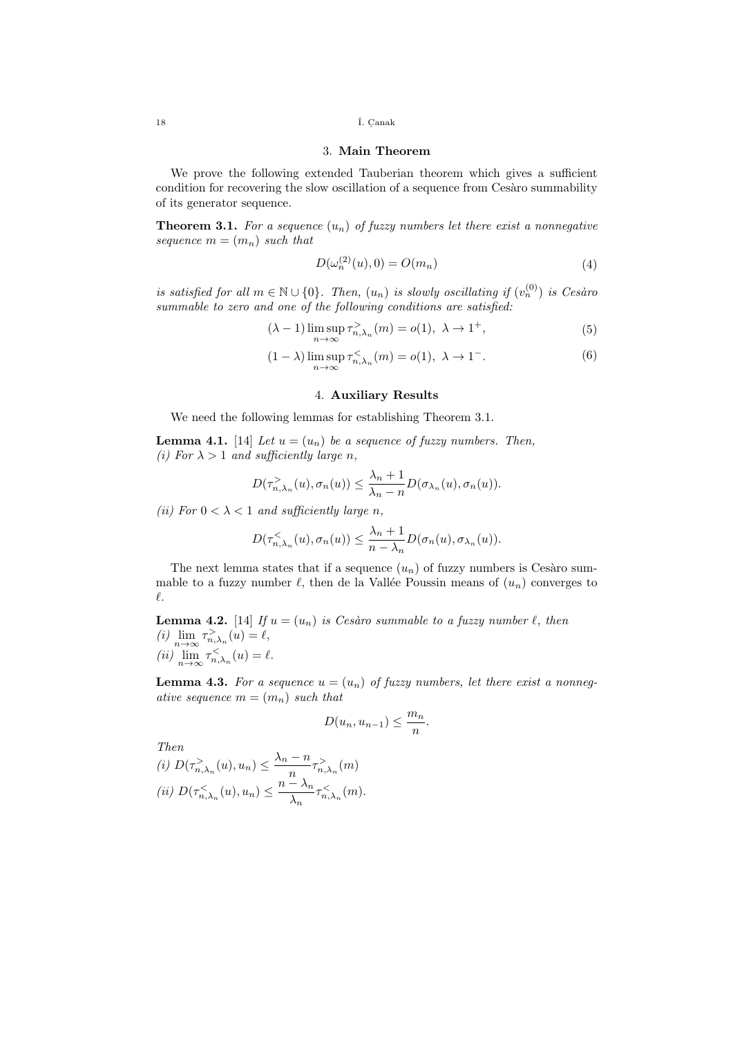<sup>18</sup> ˙I. C. anak

## 3. Main Theorem

We prove the following extended Tauberian theorem which gives a sufficient condition for recovering the slow oscillation of a sequence from Cesaro summability of its generator sequence.

**Theorem 3.1.** For a sequence  $(u_n)$  of fuzzy numbers let there exist a nonnegative sequence  $m = (m_n)$  such that

$$
D(\omega_n^{(2)}(u), 0) = O(m_n)
$$
\n(4)

is satisfied for all  $m \in \mathbb{N} \cup \{0\}$ . Then,  $(u_n)$  is slowly oscillating if  $(v_n^{(0)})$  is Cesàro summable to zero and one of the following conditions are satisfied:

$$
(\lambda - 1) \limsup_{n \to \infty} \tau_{n,\lambda_n}^{\geq}(m) = o(1), \ \lambda \to 1^+, \tag{5}
$$

$$
(1 - \lambda) \limsup_{n \to \infty} \tau_{n,\lambda_n}^{\lt}(m) = o(1), \ \lambda \to 1^-.
$$
 (6)

# 4. Auxiliary Results

We need the following lemmas for establishing Theorem 3.1.

**Lemma 4.1.** [14] Let  $u = (u_n)$  be a sequence of fuzzy numbers. Then, (i) For  $\lambda > 1$  and sufficiently large n,

$$
D(\tau_{n,\lambda_n}^>(u),\sigma_n(u)) \leq \frac{\lambda_n+1}{\lambda_n-n}D(\sigma_{\lambda_n}(u),\sigma_n(u)).
$$

(ii) For  $0 < \lambda < 1$  and sufficiently large n,

$$
D(\tau_{n,\lambda_n}^{\lt}(u),\sigma_n(u)) \leq \frac{\lambda_n+1}{n-\lambda_n}D(\sigma_n(u),\sigma_{\lambda_n}(u)).
$$

The next lemma states that if a sequence  $(u_n)$  of fuzzy numbers is Cesàro summable to a fuzzy number  $\ell$ , then de la Vallée Poussin means of  $(u_n)$  converges to  $\ell$ .

**Lemma 4.2.** [14] If  $u = (u_n)$  is Cesàro summable to a fuzzy number  $\ell$ , then (i)  $\lim_{n \to \infty} \tau_{n,\lambda_n}^{\geq}(u) = \ell,$ (*ii*)  $\lim_{n \to \infty} \tau_{n,\lambda_n}^{\lt}(u) = \ell.$ 

**Lemma 4.3.** For a sequence  $u = (u_n)$  of fuzzy numbers, let there exist a nonnegative sequence  $m = (m_n)$  such that

$$
D(u_n, u_{n-1}) \leq \frac{m_n}{n}.
$$

Then (i)  $D(\tau_{n,\lambda_n}^>(u),u_n) \leq \frac{\lambda_n - n}{n}$  $\frac{n}{n} \tau_{n,\lambda_n}^>(m)$ (ii)  $D(\tau_{n,\lambda_n}^{\lt}(u),u_n) \leq \frac{n-\lambda_n}{\lambda}$  $\frac{\overline{\lambda}_n}{\lambda_n} \tau_{n,\lambda_n}^{\lt}(m)$ .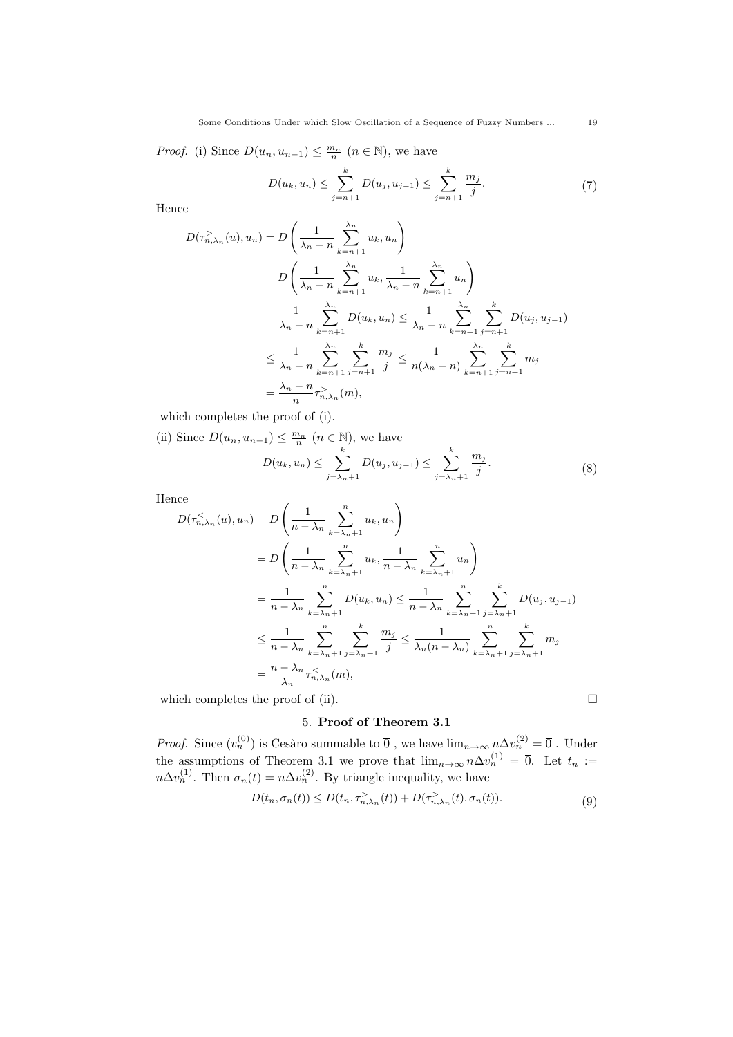*Proof.* (i) Since  $D(u_n, u_{n-1}) \leq \frac{m_n}{n}$   $(n \in \mathbb{N})$ , we have

$$
D(u_k, u_n) \leq \sum_{j=n+1}^k D(u_j, u_{j-1}) \leq \sum_{j=n+1}^k \frac{m_j}{j}.
$$
 (7)

Hence

$$
D(\tau_{n,\lambda_n}^>(u), u_n) = D\left(\frac{1}{\lambda_n - n} \sum_{k=n+1}^{\lambda_n} u_k, u_n\right)
$$
  
= 
$$
D\left(\frac{1}{\lambda_n - n} \sum_{k=n+1}^{\lambda_n} u_k, \frac{1}{\lambda_n - n} \sum_{k=n+1}^{\lambda_n} u_n\right)
$$
  
= 
$$
\frac{1}{\lambda_n - n} \sum_{k=n+1}^{\lambda_n} D(u_k, u_n) \le \frac{1}{\lambda_n - n} \sum_{k=n+1}^{\lambda_n} \sum_{j=n+1}^{k} D(u_j, u_{j-1})
$$
  

$$
\le \frac{1}{\lambda_n - n} \sum_{k=n+1}^{\lambda_n} \sum_{j=n+1}^{k} \frac{m_j}{j} \le \frac{1}{n(\lambda_n - n)} \sum_{k=n+1}^{\lambda_n} \sum_{j=n+1}^{k} m_j
$$
  
= 
$$
\frac{\lambda_n - n}{n} \tau_{n,\lambda_n}^>(m),
$$

which completes the proof of (i).

(ii) Since  $D(u_n, u_{n-1}) \leq \frac{m_n}{n}$   $(n \in \mathbb{N})$ , we have

$$
D(u_k, u_n) \le \sum_{j=\lambda_n+1}^k D(u_j, u_{j-1}) \le \sum_{j=\lambda_n+1}^k \frac{m_j}{j}.
$$
 (8)

Hence

$$
D(\tau_{n,\lambda_n}^{\le}(u), u_n) = D\left(\frac{1}{n - \lambda_n} \sum_{k=\lambda_n+1}^n u_k, u_n\right)
$$
  
= 
$$
D\left(\frac{1}{n - \lambda_n} \sum_{k=\lambda_n+1}^n u_k, \frac{1}{n - \lambda_n} \sum_{k=\lambda_n+1}^n u_n\right)
$$
  
= 
$$
\frac{1}{n - \lambda_n} \sum_{k=\lambda_n+1}^n D(u_k, u_n) \le \frac{1}{n - \lambda_n} \sum_{k=\lambda_n+1}^n \sum_{j=\lambda_n+1}^k D(u_j, u_{j-1})
$$
  

$$
\le \frac{1}{n - \lambda_n} \sum_{k=\lambda_n+1}^n \sum_{j=\lambda_n+1}^k \frac{m_j}{j} \le \frac{1}{\lambda_n (n - \lambda_n)} \sum_{k=\lambda_n+1}^n \sum_{j=\lambda_n+1}^k m_j
$$
  
= 
$$
\frac{n - \lambda_n}{\lambda_n} \tau_{n,\lambda_n}^{\le}(m),
$$

which completes the proof of (ii).  $\Box$ 

# 5. Proof of Theorem 3.1

*Proof.* Since  $(v_n^{(0)})$  is Cesàro summable to  $\overline{0}$ , we have  $\lim_{n\to\infty} n\Delta v_n^{(2)} = \overline{0}$ . Under the assumptions of Theorem 3.1 we prove that  $\lim_{n\to\infty} n\Delta v_n^{(1)} = \overline{0}$ . Let  $t_n :=$  $n\Delta v_n^{(1)}$ . Then  $\sigma_n(t) = n\Delta v_n^{(2)}$ . By triangle inequality, we have

$$
D(t_n, \sigma_n(t)) \le D(t_n, \tau_{n,\lambda_n}^>(t)) + D(\tau_{n,\lambda_n}^>(t), \sigma_n(t)).
$$
\n(9)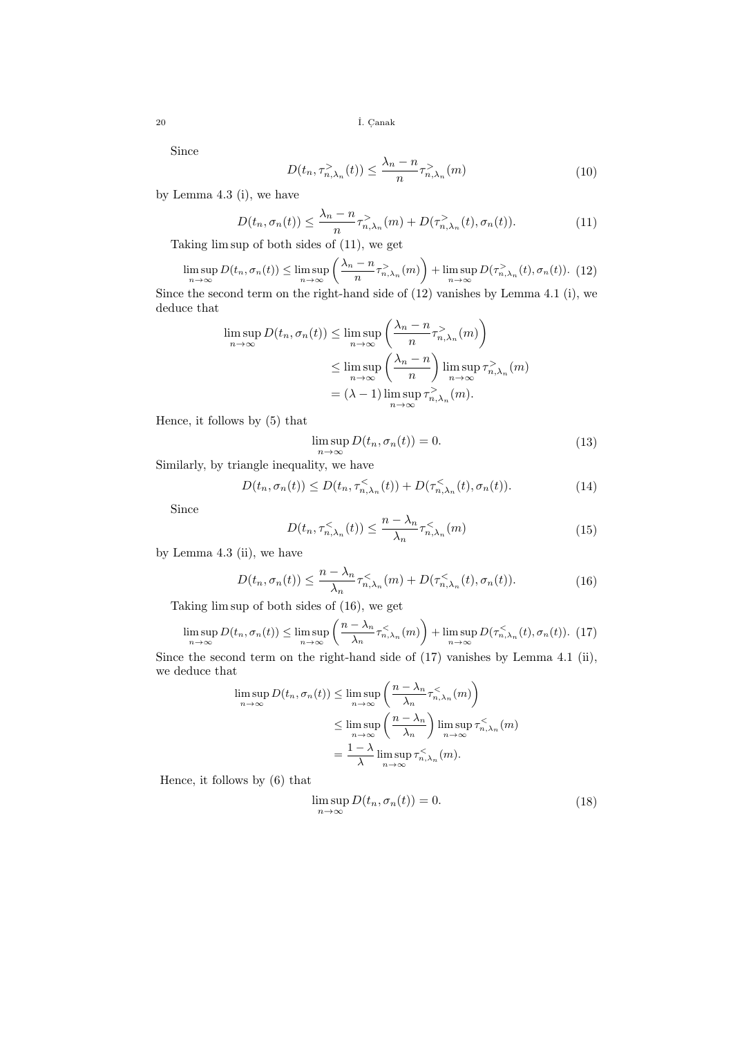<sup>20</sup> ˙I. C. anak

Since

$$
D(t_n, \tau_{n,\lambda_n}^>(t)) \le \frac{\lambda_n - n}{n} \tau_{n,\lambda_n}^>(m)
$$
\n(10)

by Lemma 4.3 (i), we have

$$
D(t_n, \sigma_n(t)) \leq \frac{\lambda_n - n}{n} \tau_{n, \lambda_n}^>(m) + D(\tau_{n, \lambda_n}^>(t), \sigma_n(t)).
$$
\n(11)

Taking lim sup of both sides of (11), we get

$$
\limsup_{n \to \infty} D(t_n, \sigma_n(t)) \le \limsup_{n \to \infty} \left( \frac{\lambda_n - n}{n} \tau_{n, \lambda_n}^>(m) \right) + \limsup_{n \to \infty} D(\tau_{n, \lambda_n}^>(t), \sigma_n(t)). \tag{12}
$$

Since the second term on the right-hand side of (12) vanishes by Lemma 4.1 (i), we deduce that  $\overline{ }$ 

$$
\limsup_{n \to \infty} D(t_n, \sigma_n(t)) \le \limsup_{n \to \infty} \left( \frac{\lambda_n - n}{n} \tau_{n, \lambda_n}^{\geq} (m) \right)
$$
  

$$
\le \limsup_{n \to \infty} \left( \frac{\lambda_n - n}{n} \right) \limsup_{n \to \infty} \tau_{n, \lambda_n}^{\geq} (m)
$$
  

$$
= (\lambda - 1) \limsup_{n \to \infty} \tau_{n, \lambda_n}^{\geq} (m).
$$

Hence, it follows by (5) that

$$
\limsup_{n \to \infty} D(t_n, \sigma_n(t)) = 0.
$$
\n(13)

Similarly, by triangle inequality, we have

$$
D(t_n, \sigma_n(t)) \le D(t_n, \tau_{n,\lambda_n}^{\le}(t)) + D(\tau_{n,\lambda_n}^{\le}(t), \sigma_n(t)).
$$
\n(14)

Since

$$
D(t_n, \tau_{n,\lambda_n}^{\leq}(t)) \leq \frac{n - \lambda_n}{\lambda_n} \tau_{n,\lambda_n}^{\leq}(m)
$$
\n(15)

by Lemma 4.3 (ii), we have

$$
D(t_n, \sigma_n(t)) \le \frac{n - \lambda_n}{\lambda_n} \tau_{n, \lambda_n}^{\lt}(m) + D(\tau_{n, \lambda_n}^{\lt}(t), \sigma_n(t)).
$$
\n(16)

Taking lim sup of both sides of (16), we get

$$
\limsup_{n \to \infty} D(t_n, \sigma_n(t)) \le \limsup_{n \to \infty} \left( \frac{n - \lambda_n}{\lambda_n} \tau_{n, \lambda_n}^{\lt}(m) \right) + \limsup_{n \to \infty} D(\tau_{n, \lambda_n}^{\lt}(t), \sigma_n(t)). \tag{17}
$$

Since the second term on the right-hand side of (17) vanishes by Lemma 4.1 (ii), we deduce that  $\overline{\phantom{a}}$ 

$$
\limsup_{n \to \infty} D(t_n, \sigma_n(t)) \le \limsup_{n \to \infty} \left( \frac{n - \lambda_n}{\lambda_n} \tau_{n, \lambda_n}^{\lt}(m) \right)
$$
  

$$
\le \limsup_{n \to \infty} \left( \frac{n - \lambda_n}{\lambda_n} \right) \limsup_{n \to \infty} \tau_{n, \lambda_n}^{\lt}(m)
$$
  

$$
= \frac{1 - \lambda}{\lambda} \limsup_{n \to \infty} \tau_{n, \lambda_n}^{\lt}(m).
$$

Hence, it follows by (6) that

$$
\limsup_{n \to \infty} D(t_n, \sigma_n(t)) = 0.
$$
\n(18)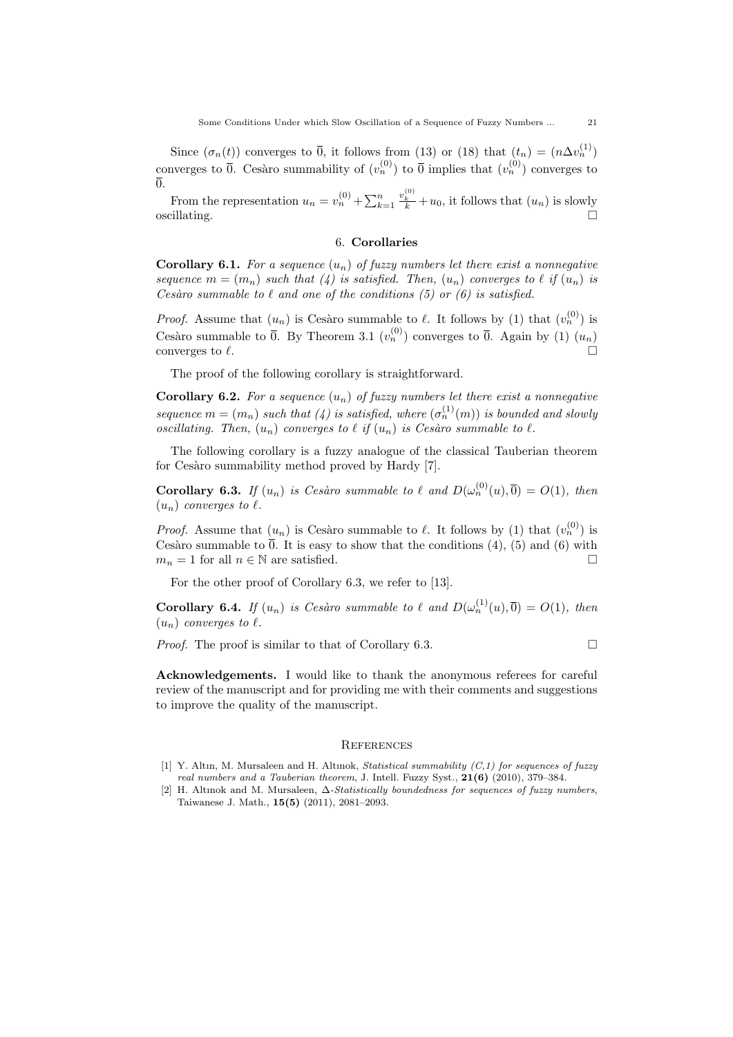Since  $(\sigma_n(t))$  converges to  $\overline{0}$ , it follows from (13) or (18) that  $(t_n) = (n \Delta v_n^{(1)})$ converges to  $\overline{0}$ . Cesàro summability of  $(v_n^{(0)})$  to  $\overline{0}$  implies that  $(v_n^{(0)})$  converges to  $\overline{0}$ 

From the representation  $u_n = v_n^{(0)} + \sum_{k=1}^n$  $\frac{v_k^{(0)}}{k} + u_0$ , it follows that  $(u_n)$  is slowly  $\sum_{n=1}^{\infty} k$ 

## 6. Corollaries

**Corollary 6.1.** For a sequence  $(u_n)$  of fuzzy numbers let there exist a nonnegative sequence  $m = (m_n)$  such that (4) is satisfied. Then,  $(u_n)$  converges to  $\ell$  if  $(u_n)$  is Cesàro summable to  $\ell$  and one of the conditions (5) or (6) is satisfied.

*Proof.* Assume that  $(u_n)$  is Cesàro summable to  $\ell$ . It follows by (1) that  $(v_n^{(0)})$  is Cesàro summable to  $\overline{0}$ . By Theorem 3.1  $(v_n^{(0)})$  converges to  $\overline{0}$ . Again by (1)  $(u_n)$ converges to  $\ell$ .

The proof of the following corollary is straightforward.

**Corollary 6.2.** For a sequence  $(u_n)$  of fuzzy numbers let there exist a nonnegative sequence  $m = (m_n)$  such that (4) is satisfied, where  $(\sigma_n^{(1)}(m))$  is bounded and slowly oscillating. Then,  $(u_n)$  converges to  $\ell$  if  $(u_n)$  is Cesàro summable to  $\ell$ .

The following corollary is a fuzzy analogue of the classical Tauberian theorem for Cesàro summability method proved by Hardy [7].

**Corollary 6.3.** If  $(u_n)$  is Cesàro summable to  $\ell$  and  $D(\omega_n^{(0)}(u), \overline{0}) = O(1)$ , then  $(u_n)$  converges to  $\ell$ .

*Proof.* Assume that  $(u_n)$  is Cesàro summable to  $\ell$ . It follows by (1) that  $(v_n^{(0)})$  is Cesàro summable to  $\overline{0}$ . It is easy to show that the conditions (4), (5) and (6) with  $m_n = 1$  for all  $n \in \mathbb{N}$  are satisfied.

For the other proof of Corollary 6.3, we refer to [13].

**Corollary 6.4.** If  $(u_n)$  is Cesàro summable to  $\ell$  and  $D(\omega_n^{(1)}(u), \overline{0}) = O(1)$ , then  $(u_n)$  converges to  $\ell$ .

Proof. The proof is similar to that of Corollary 6.3.

$$
\sqcup
$$

Acknowledgements. I would like to thank the anonymous referees for careful review of the manuscript and for providing me with their comments and suggestions to improve the quality of the manuscript.

#### **REFERENCES**

- [1] Y. Altın, M. Mursaleen and H. Altınok, Statistical summability (C,1) for sequences of fuzzy real numbers and a Tauberian theorem, J. Intell. Fuzzy Syst., 21(6) (2010), 379–384.
- [2] H. Altınok and M. Mursaleen, ∆-Statistically boundedness for sequences of fuzzy numbers, Taiwanese J. Math., 15(5) (2011), 2081–2093.